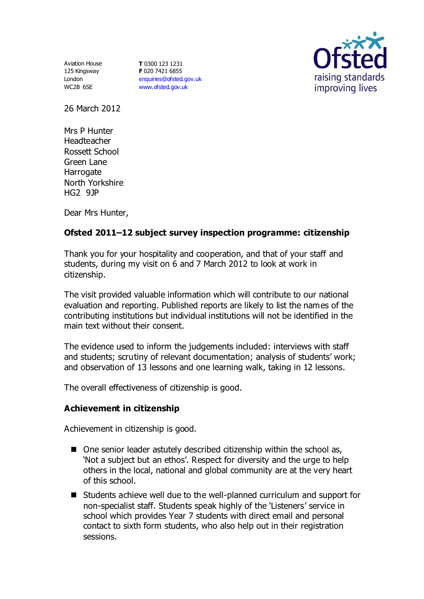Aviation House 125 Kingsway London WC2B 6SE

**T** 0300 123 1231 **F** 020 7421 6855 [enquiries@ofsted.gov.uk](mailto:enquiries@ofsted.gov.uk) [www.ofsted.gov.uk](http://www.ofsted.gov.uk/)



26 March 2012

Mrs P Hunter Headteacher Rossett School Green Lane **Harrogate** North Yorkshire HG2 9JP

Dear Mrs Hunter,

# **Ofsted 2011–12 subject survey inspection programme: citizenship**

Thank you for your hospitality and cooperation, and that of your staff and students, during my visit on 6 and 7 March 2012 to look at work in citizenship.

The visit provided valuable information which will contribute to our national evaluation and reporting. Published reports are likely to list the names of the contributing institutions but individual institutions will not be identified in the main text without their consent.

The evidence used to inform the judgements included: interviews with staff and students; scrutiny of relevant documentation; analysis of students' work; and observation of 13 lessons and one learning walk, taking in 12 lessons.

The overall effectiveness of citizenship is good.

## **Achievement in citizenship**

Achievement in citizenship is good.

- One senior leader astutely described citizenship within the school as, 'Not a subject but an ethos'. Respect for diversity and the urge to help others in the local, national and global community are at the very heart of this school.
- Students achieve well due to the well-planned curriculum and support for non-specialist staff. Students speak highly of the 'Listeners' service in school which provides Year 7 students with direct email and personal contact to sixth form students, who also help out in their registration sessions.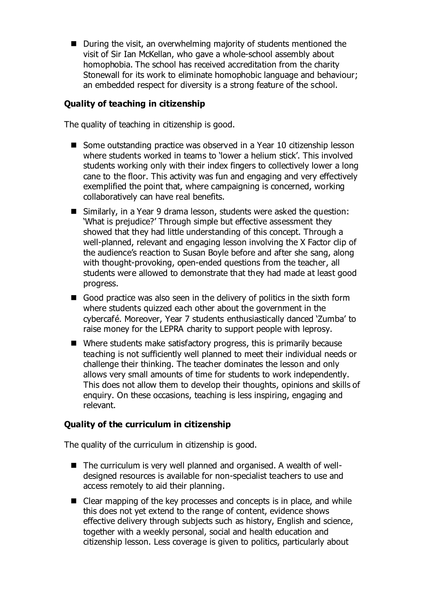During the visit, an overwhelming majority of students mentioned the visit of Sir Ian McKellan, who gave a whole-school assembly about homophobia. The school has received accreditation from the charity Stonewall for its work to eliminate homophobic language and behaviour; an embedded respect for diversity is a strong feature of the school.

## **Quality of teaching in citizenship**

The quality of teaching in citizenship is good.

- Some outstanding practice was observed in a Year 10 citizenship lesson where students worked in teams to 'lower a helium stick'. This involved students working only with their index fingers to collectively lower a long cane to the floor. This activity was fun and engaging and very effectively exemplified the point that, where campaigning is concerned, working collaboratively can have real benefits.
- Similarly, in a Year 9 drama lesson, students were asked the question: 'What is prejudice?' Through simple but effective assessment they showed that they had little understanding of this concept. Through a well-planned, relevant and engaging lesson involving the X Factor clip of the audience's reaction to Susan Boyle before and after she sang, along with thought-provoking, open-ended questions from the teacher, all students were allowed to demonstrate that they had made at least good progress.
- Good practice was also seen in the delivery of politics in the sixth form where students quizzed each other about the government in the cybercafé. Moreover, Year 7 students enthusiastically danced 'Zumba' to raise money for the LEPRA charity to support people with leprosy.
- Where students make satisfactory progress, this is primarily because teaching is not sufficiently well planned to meet their individual needs or challenge their thinking. The teacher dominates the lesson and only allows very small amounts of time for students to work independently. This does not allow them to develop their thoughts, opinions and skills of enquiry. On these occasions, teaching is less inspiring, engaging and relevant.

## **Quality of the curriculum in citizenship**

The quality of the curriculum in citizenship is good.

- The curriculum is very well planned and organised. A wealth of welldesigned resources is available for non-specialist teachers to use and access remotely to aid their planning.
- Clear mapping of the key processes and concepts is in place, and while this does not yet extend to the range of content, evidence shows effective delivery through subjects such as history, English and science, together with a weekly personal, social and health education and citizenship lesson. Less coverage is given to politics, particularly about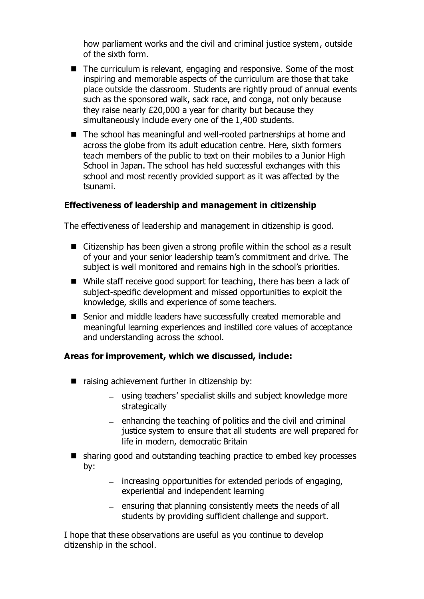how parliament works and the civil and criminal justice system, outside of the sixth form.

- $\blacksquare$  The curriculum is relevant, engaging and responsive. Some of the most inspiring and memorable aspects of the curriculum are those that take place outside the classroom. Students are rightly proud of annual events such as the sponsored walk, sack race, and conga, not only because they raise nearly £20,000 a year for charity but because they simultaneously include every one of the 1,400 students.
- The school has meaningful and well-rooted partnerships at home and across the globe from its adult education centre. Here, sixth formers teach members of the public to text on their mobiles to a Junior High School in Japan. The school has held successful exchanges with this school and most recently provided support as it was affected by the tsunami.

## **Effectiveness of leadership and management in citizenship**

The effectiveness of leadership and management in citizenship is good.

- Citizenship has been given a strong profile within the school as a result of your and your senior leadership team's commitment and drive. The subject is well monitored and remains high in the school's priorities.
- While staff receive good support for teaching, there has been a lack of subject-specific development and missed opportunities to exploit the knowledge, skills and experience of some teachers.
- Senior and middle leaders have successfully created memorable and meaningful learning experiences and instilled core values of acceptance and understanding across the school.

### **Areas for improvement, which we discussed, include:**

- $\blacksquare$  raising achievement further in citizenship by:
	- using teachers' specialist skills and subject knowledge more strategically
	- $-$  enhancing the teaching of politics and the civil and criminal justice system to ensure that all students are well prepared for life in modern, democratic Britain
- sharing good and outstanding teaching practice to embed key processes by:
	- increasing opportunities for extended periods of engaging, experiential and independent learning
	- $-$  ensuring that planning consistently meets the needs of all students by providing sufficient challenge and support.

I hope that these observations are useful as you continue to develop citizenship in the school.